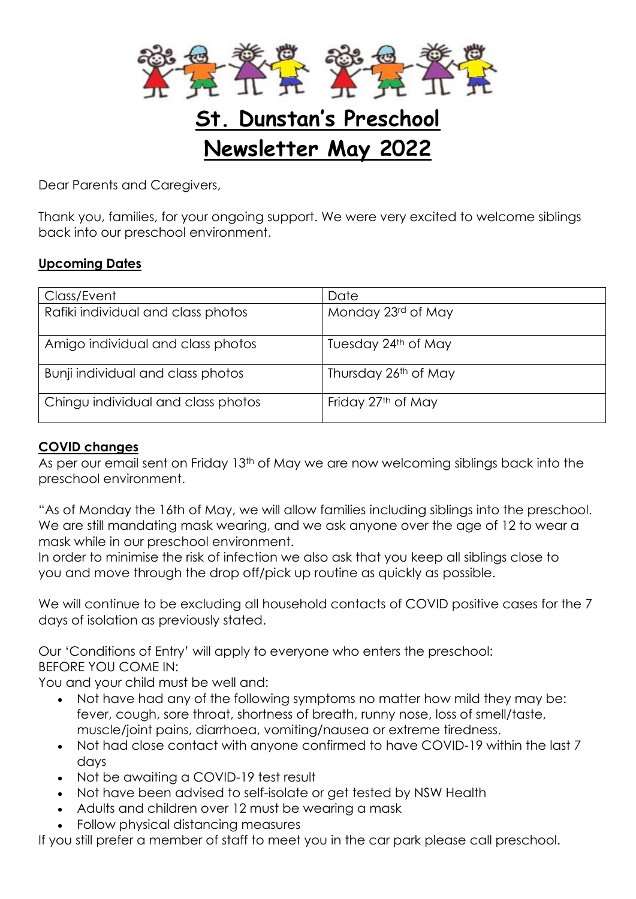

# **St. Dunstan's Preschool Newsletter May 2022**

Dear Parents and Caregivers,

Thank you, families, for your ongoing support. We were very excited to welcome siblings back into our preschool environment.

### **Upcoming Dates**

| Class/Event                        | Date                           |
|------------------------------------|--------------------------------|
| Rafiki individual and class photos | Monday 23rd of May             |
| Amigo individual and class photos  | Tuesday 24th of May            |
| Bunji individual and class photos  | Thursday 26th of May           |
| Chingu individual and class photos | Friday 27 <sup>th</sup> of May |

## **COVID changes**

As per our email sent on Friday 13<sup>th</sup> of May we are now welcoming siblings back into the preschool environment.

"As of Monday the 16th of May, we will allow families including siblings into the preschool. We are still mandating mask wearing, and we ask anyone over the age of 12 to wear a mask while in our preschool environment.

In order to minimise the risk of infection we also ask that you keep all siblings close to you and move through the drop off/pick up routine as quickly as possible.

We will continue to be excluding all household contacts of COVID positive cases for the 7 days of isolation as previously stated.

Our 'Conditions of Entry' will apply to everyone who enters the preschool: BEFORE YOU COME IN:

You and your child must be well and:

- Not have had any of the following symptoms no matter how mild they may be: fever, cough, sore throat, shortness of breath, runny nose, loss of smell/taste, muscle/joint pains, diarrhoea, vomiting/nausea or extreme tiredness.
- Not had close contact with anyone confirmed to have COVID-19 within the last 7 days
- Not be awaiting a COVID-19 test result
- Not have been advised to self-isolate or get tested by NSW Health
- Adults and children over 12 must be wearing a mask
- Follow physical distancing measures

If you still prefer a member of staff to meet you in the car park please call preschool.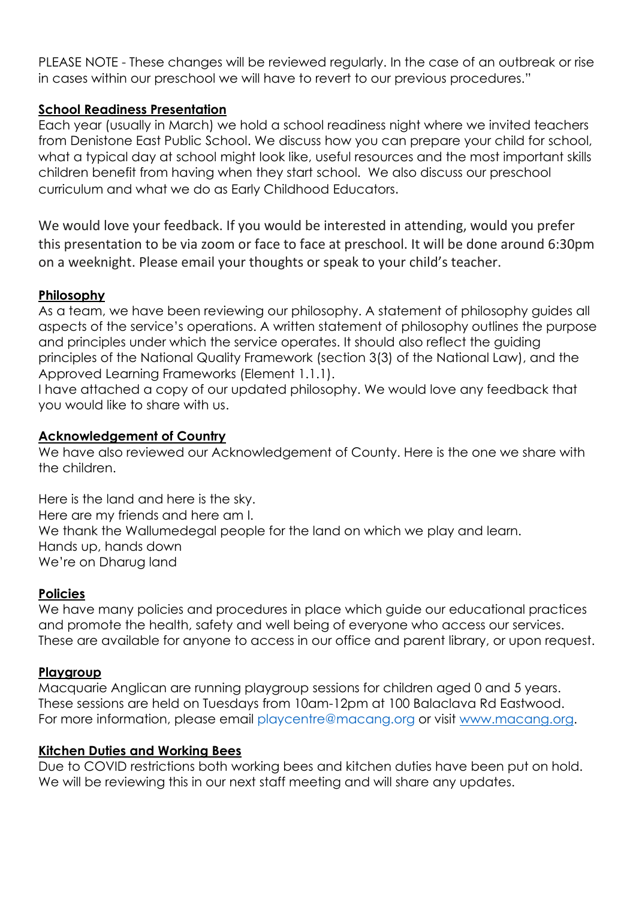PLEASE NOTE - These changes will be reviewed regularly. In the case of an outbreak or rise in cases within our preschool we will have to revert to our previous procedures."

## **School Readiness Presentation**

Each year (usually in March) we hold a school readiness night where we invited teachers from Denistone East Public School. We discuss how you can prepare your child for school, what a typical day at school might look like, useful resources and the most important skills children benefit from having when they start school. We also discuss our preschool curriculum and what we do as Early Childhood Educators.

We would love your feedback. If you would be interested in attending, would you prefer this presentation to be via zoom or face to face at preschool. It will be done around 6:30pm on a weeknight. Please email your thoughts or speak to your child's teacher.

### **Philosophy**

As a team, we have been reviewing our philosophy. A statement of philosophy guides all aspects of the service's operations. A written statement of philosophy outlines the purpose and principles under which the service operates. It should also reflect the guiding principles of the National Quality Framework (section 3(3) of the National Law), and the Approved Learning Frameworks (Element 1.1.1).

I have attached a copy of our updated philosophy. We would love any feedback that you would like to share with us.

### **Acknowledgement of Country**

We have also reviewed our Acknowledgement of County. Here is the one we share with the children.

Here is the land and here is the sky. Here are my friends and here am I. We thank the Wallumedegal people for the land on which we play and learn. Hands up, hands down We're on Dharug land

# **Policies**

[We have many policies and procedures in place which guide our educational practices](https://www.macquarieanglican.org/)  [and promote the health, safety and well being of everyone who access our services.](https://www.macquarieanglican.org/)  [These are available for anyone to access in our office and parent library, or upon request.](https://www.macquarieanglican.org/)

#### **Playgroup**

Macquarie Anglican are running playgroup sessions for children aged 0 and 5 years. These sessions are held on Tuesdays from 10am-12pm at 100 Balaclava Rd Eastwood. For more information, please email [playcentre@macang.org](mailto:playcentre@macang.org) or visit [www.macang.org.](http://www.macang.org/)

#### **Kitchen Duties and Working Bees**

Due to COVID restrictions both working bees and kitchen duties have been put on hold. We will be reviewing this in our next staff meeting and will share any updates.